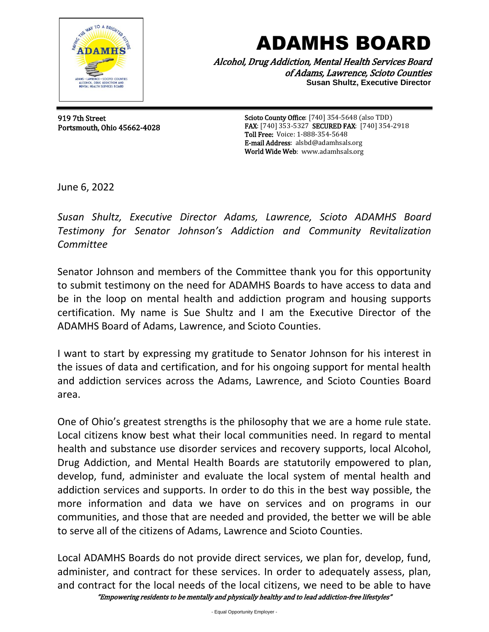

## ADAMHS BOARD

Alcohol, Drug Addiction, Mental Health Services Board of Adams, Lawrence, Scioto Counties **Susan Shultz, Executive Director**

 919 7th Street Portsmouth, Ohio 45662-4028

Scioto County Office: [740] 354-5648 (also TDD) FAX: [740] 353-5327 SECURED FAX: [740] 354-2918 Toll Free: Voice: 1-888-354-5648 E-mail Address: alsbd@adamhsals.org World Wide Web: www.adamhsals.org

June 6, 2022

*Susan Shultz, Executive Director Adams, Lawrence, Scioto ADAMHS Board Testimony for Senator Johnson's Addiction and Community Revitalization Committee*

Senator Johnson and members of the Committee thank you for this opportunity to submit testimony on the need for ADAMHS Boards to have access to data and be in the loop on mental health and addiction program and housing supports certification. My name is Sue Shultz and I am the Executive Director of the ADAMHS Board of Adams, Lawrence, and Scioto Counties.

I want to start by expressing my gratitude to Senator Johnson for his interest in the issues of data and certification, and for his ongoing support for mental health and addiction services across the Adams, Lawrence, and Scioto Counties Board area.

One of Ohio's greatest strengths is the philosophy that we are a home rule state. Local citizens know best what their local communities need. In regard to mental health and substance use disorder services and recovery supports, local Alcohol, Drug Addiction, and Mental Health Boards are statutorily empowered to plan, develop, fund, administer and evaluate the local system of mental health and addiction services and supports. In order to do this in the best way possible, the more information and data we have on services and on programs in our communities, and those that are needed and provided, the better we will be able to serve all of the citizens of Adams, Lawrence and Scioto Counties.

"Empowering residents to be mentally and physically healthy and to lead addiction-free lifestyles" Local ADAMHS Boards do not provide direct services, we plan for, develop, fund, administer, and contract for these services. In order to adequately assess, plan, and contract for the local needs of the local citizens, we need to be able to have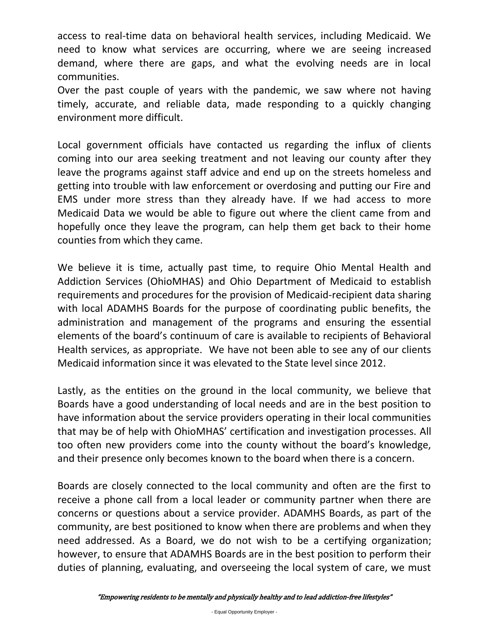access to real-time data on behavioral health services, including Medicaid. We need to know what services are occurring, where we are seeing increased demand, where there are gaps, and what the evolving needs are in local communities.

Over the past couple of years with the pandemic, we saw where not having timely, accurate, and reliable data, made responding to a quickly changing environment more difficult.

Local government officials have contacted us regarding the influx of clients coming into our area seeking treatment and not leaving our county after they leave the programs against staff advice and end up on the streets homeless and getting into trouble with law enforcement or overdosing and putting our Fire and EMS under more stress than they already have. If we had access to more Medicaid Data we would be able to figure out where the client came from and hopefully once they leave the program, can help them get back to their home counties from which they came.

We believe it is time, actually past time, to require Ohio Mental Health and Addiction Services (OhioMHAS) and Ohio Department of Medicaid to establish requirements and procedures for the provision of Medicaid-recipient data sharing with local ADAMHS Boards for the purpose of coordinating public benefits, the administration and management of the programs and ensuring the essential elements of the board's continuum of care is available to recipients of Behavioral Health services, as appropriate. We have not been able to see any of our clients Medicaid information since it was elevated to the State level since 2012.

Lastly, as the entities on the ground in the local community, we believe that Boards have a good understanding of local needs and are in the best position to have information about the service providers operating in their local communities that may be of help with OhioMHAS' certification and investigation processes. All too often new providers come into the county without the board's knowledge, and their presence only becomes known to the board when there is a concern.

Boards are closely connected to the local community and often are the first to receive a phone call from a local leader or community partner when there are concerns or questions about a service provider. ADAMHS Boards, as part of the community, are best positioned to know when there are problems and when they need addressed. As a Board, we do not wish to be a certifying organization; however, to ensure that ADAMHS Boards are in the best position to perform their duties of planning, evaluating, and overseeing the local system of care, we must